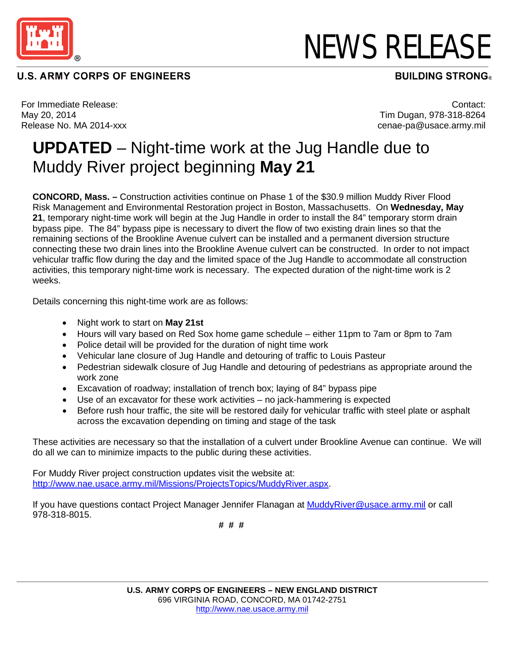

## **U.S. ARMY CORPS OF ENGINEERS**

## NEWS RELEASE

**BUILDING STRONG®** 

For Immediate Release: May 20, 2014 Release No. MA 2014-xxx

Contact: Tim Dugan, 978-318-8264 cenae-pa@usace.army.mil

## **UPDATED** – Night-time work at the Jug Handle due to Muddy River project beginning **May 21**

**CONCORD, Mass. –** Construction activities continue on Phase 1 of the \$30.9 million Muddy River Flood Risk Management and Environmental Restoration project in Boston, Massachusetts. On **Wednesday, May 21**, temporary night-time work will begin at the Jug Handle in order to install the 84" temporary storm drain bypass pipe. The 84" bypass pipe is necessary to divert the flow of two existing drain lines so that the remaining sections of the Brookline Avenue culvert can be installed and a permanent diversion structure connecting these two drain lines into the Brookline Avenue culvert can be constructed. In order to not impact vehicular traffic flow during the day and the limited space of the Jug Handle to accommodate all construction activities, this temporary night-time work is necessary. The expected duration of the night-time work is 2 weeks.

Details concerning this night-time work are as follows:

- Night work to start on **May 21st**
- Hours will vary based on Red Sox home game schedule either 11pm to 7am or 8pm to 7am
- Police detail will be provided for the duration of night time work
- Vehicular lane closure of Jug Handle and detouring of traffic to Louis Pasteur
- Pedestrian sidewalk closure of Jug Handle and detouring of pedestrians as appropriate around the work zone
- Excavation of roadway; installation of trench box; laying of 84" bypass pipe
- Use of an excavator for these work activities no jack-hammering is expected
- Before rush hour traffic, the site will be restored daily for vehicular traffic with steel plate or asphalt across the excavation depending on timing and stage of the task

These activities are necessary so that the installation of a culvert under Brookline Avenue can continue. We will do all we can to minimize impacts to the public during these activities.

For Muddy River project construction updates visit the website at: [http://www.nae.usace.army.mil/Missions/ProjectsTopics/MuddyRiver.aspx.](http://www.nae.usace.army.mil/Missions/ProjectsTopics/MuddyRiver.aspx)

If you have questions contact Project Manager Jennifer Flanagan at [MuddyRiver@usace.army.mil](mailto:MuddyRiver@usace.army.mil) or call 978-318-8015.

 **# # #**